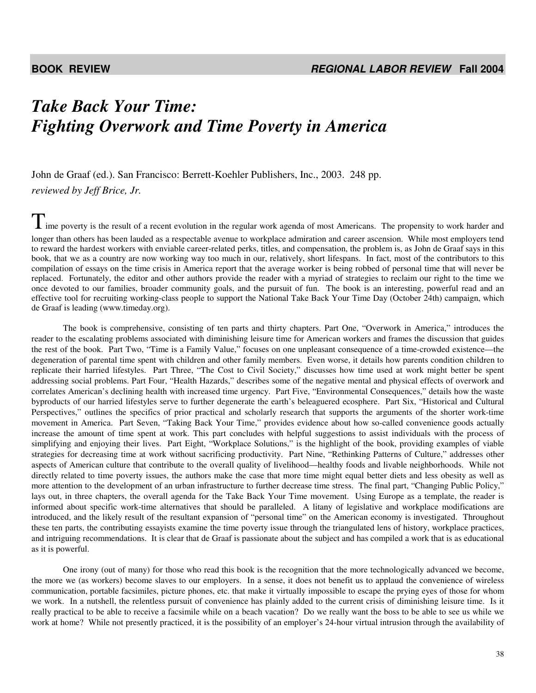## *Take Back Your Time: Fighting Overwork and Time Poverty in America*

John de Graaf (ed.). San Francisco: Berrett-Koehler Publishers, Inc., 2003. 248 pp. *reviewed by Jeff Brice, Jr.* 

 $\prod$  ime poverty is the result of a recent evolution in the regular work agenda of most Americans. The propensity to work harder and longer than others has been lauded as a respectable avenue to workplace admiration and career ascension. While most employers tend to reward the hardest workers with enviable career-related perks, titles, and compensation, the problem is, as John de Graaf says in this book, that we as a country are now working way too much in our, relatively, short lifespans. In fact, most of the contributors to this compilation of essays on the time crisis in America report that the average worker is being robbed of personal time that will never be replaced. Fortunately, the editor and other authors provide the reader with a myriad of strategies to reclaim our right to the time we once devoted to our families, broader community goals, and the pursuit of fun. The book is an interesting, powerful read and an effective tool for recruiting working-class people to support the National Take Back Your Time Day (October 24th) campaign, which de Graaf is leading (www.timeday.org).

 The book is comprehensive, consisting of ten parts and thirty chapters. Part One, "Overwork in America," introduces the reader to the escalating problems associated with diminishing leisure time for American workers and frames the discussion that guides the rest of the book. Part Two, "Time is a Family Value," focuses on one unpleasant consequence of a time-crowded existence—the degeneration of parental time spent with children and other family members. Even worse, it details how parents condition children to replicate their harried lifestyles. Part Three, "The Cost to Civil Society," discusses how time used at work might better be spent addressing social problems. Part Four, "Health Hazards," describes some of the negative mental and physical effects of overwork and correlates American's declining health with increased time urgency. Part Five, "Environmental Consequences," details how the waste byproducts of our harried lifestyles serve to further degenerate the earth's beleaguered ecosphere. Part Six, "Historical and Cultural Perspectives," outlines the specifics of prior practical and scholarly research that supports the arguments of the shorter work-time movement in America. Part Seven, "Taking Back Your Time," provides evidence about how so-called convenience goods actually increase the amount of time spent at work. This part concludes with helpful suggestions to assist individuals with the process of simplifying and enjoying their lives. Part Eight, "Workplace Solutions," is the highlight of the book, providing examples of viable strategies for decreasing time at work without sacrificing productivity. Part Nine, "Rethinking Patterns of Culture," addresses other aspects of American culture that contribute to the overall quality of livelihood—healthy foods and livable neighborhoods. While not directly related to time poverty issues, the authors make the case that more time might equal better diets and less obesity as well as more attention to the development of an urban infrastructure to further decrease time stress. The final part, "Changing Public Policy," lays out, in three chapters, the overall agenda for the Take Back Your Time movement. Using Europe as a template, the reader is informed about specific work-time alternatives that should be paralleled. A litany of legislative and workplace modifications are introduced, and the likely result of the resultant expansion of "personal time" on the American economy is investigated. Throughout these ten parts, the contributing essayists examine the time poverty issue through the triangulated lens of history, workplace practices, and intriguing recommendations. It is clear that de Graaf is passionate about the subject and has compiled a work that is as educational as it is powerful.

 One irony (out of many) for those who read this book is the recognition that the more technologically advanced we become, the more we (as workers) become slaves to our employers. In a sense, it does not benefit us to applaud the convenience of wireless communication, portable facsimiles, picture phones, etc. that make it virtually impossible to escape the prying eyes of those for whom we work. In a nutshell, the relentless pursuit of convenience has plainly added to the current crisis of diminishing leisure time. Is it really practical to be able to receive a facsimile while on a beach vacation? Do we really want the boss to be able to see us while we work at home? While not presently practiced, it is the possibility of an employer's 24-hour virtual intrusion through the availability of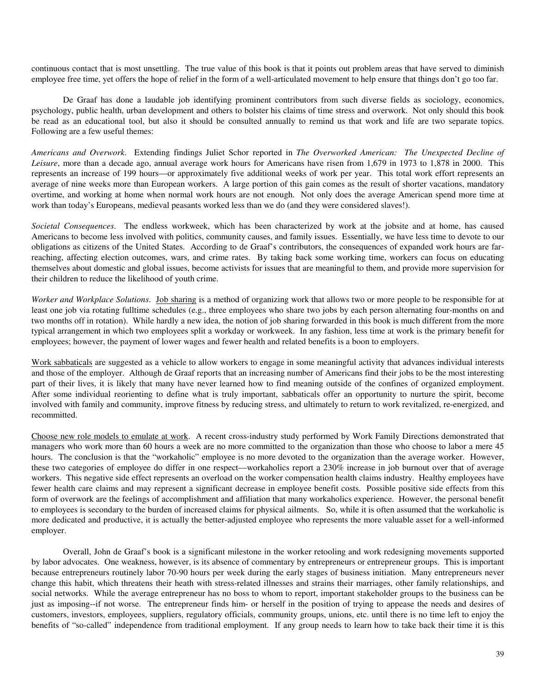continuous contact that is most unsettling. The true value of this book is that it points out problem areas that have served to diminish employee free time, yet offers the hope of relief in the form of a well-articulated movement to help ensure that things don't go too far.

De Graaf has done a laudable job identifying prominent contributors from such diverse fields as sociology, economics, psychology, public health, urban development and others to bolster his claims of time stress and overwork. Not only should this book be read as an educational tool, but also it should be consulted annually to remind us that work and life are two separate topics. Following are a few useful themes:

*Americans and Overwork*. Extending findings Juliet Schor reported in *The Overworked American: The Unexpected Decline of Leisure*, more than a decade ago, annual average work hours for Americans have risen from 1,679 in 1973 to 1,878 in 2000. This represents an increase of 199 hours—or approximately five additional weeks of work per year. This total work effort represents an average of nine weeks more than European workers. A large portion of this gain comes as the result of shorter vacations, mandatory overtime, and working at home when normal work hours are not enough. Not only does the average American spend more time at work than today's Europeans, medieval peasants worked less than we do (and they were considered slaves!).

*Societal Consequences*. The endless workweek, which has been characterized by work at the jobsite and at home, has caused Americans to become less involved with politics, community causes, and family issues. Essentially, we have less time to devote to our obligations as citizens of the United States. According to de Graaf's contributors, the consequences of expanded work hours are farreaching, affecting election outcomes, wars, and crime rates. By taking back some working time, workers can focus on educating themselves about domestic and global issues, become activists for issues that are meaningful to them, and provide more supervision for their children to reduce the likelihood of youth crime.

*Worker and Workplace Solutions*. Job sharing is a method of organizing work that allows two or more people to be responsible for at least one job via rotating fulltime schedules (e.g., three employees who share two jobs by each person alternating four-months on and two months off in rotation). While hardly a new idea, the notion of job sharing forwarded in this book is much different from the more typical arrangement in which two employees split a workday or workweek. In any fashion, less time at work is the primary benefit for employees; however, the payment of lower wages and fewer health and related benefits is a boon to employers.

Work sabbaticals are suggested as a vehicle to allow workers to engage in some meaningful activity that advances individual interests and those of the employer. Although de Graaf reports that an increasing number of Americans find their jobs to be the most interesting part of their lives, it is likely that many have never learned how to find meaning outside of the confines of organized employment. After some individual reorienting to define what is truly important, sabbaticals offer an opportunity to nurture the spirit, become involved with family and community, improve fitness by reducing stress, and ultimately to return to work revitalized, re-energized, and recommitted.

Choose new role models to emulate at work. A recent cross-industry study performed by Work Family Directions demonstrated that managers who work more than 60 hours a week are no more committed to the organization than those who choose to labor a mere 45 hours. The conclusion is that the "workaholic" employee is no more devoted to the organization than the average worker. However, these two categories of employee do differ in one respect—workaholics report a 230% increase in job burnout over that of average workers. This negative side effect represents an overload on the worker compensation health claims industry. Healthy employees have fewer health care claims and may represent a significant decrease in employee benefit costs. Possible positive side effects from this form of overwork are the feelings of accomplishment and affiliation that many workaholics experience. However, the personal benefit to employees is secondary to the burden of increased claims for physical ailments. So, while it is often assumed that the workaholic is more dedicated and productive, it is actually the better-adjusted employee who represents the more valuable asset for a well-informed employer.

Overall, John de Graaf's book is a significant milestone in the worker retooling and work redesigning movements supported by labor advocates. One weakness, however, is its absence of commentary by entrepreneurs or entrepreneur groups. This is important because entrepreneurs routinely labor 70-90 hours per week during the early stages of business initiation. Many entrepreneurs never change this habit, which threatens their heath with stress-related illnesses and strains their marriages, other family relationships, and social networks. While the average entrepreneur has no boss to whom to report, important stakeholder groups to the business can be just as imposing--if not worse. The entrepreneur finds him- or herself in the position of trying to appease the needs and desires of customers, investors, employees, suppliers, regulatory officials, community groups, unions, etc. until there is no time left to enjoy the benefits of "so-called" independence from traditional employment. If any group needs to learn how to take back their time it is this